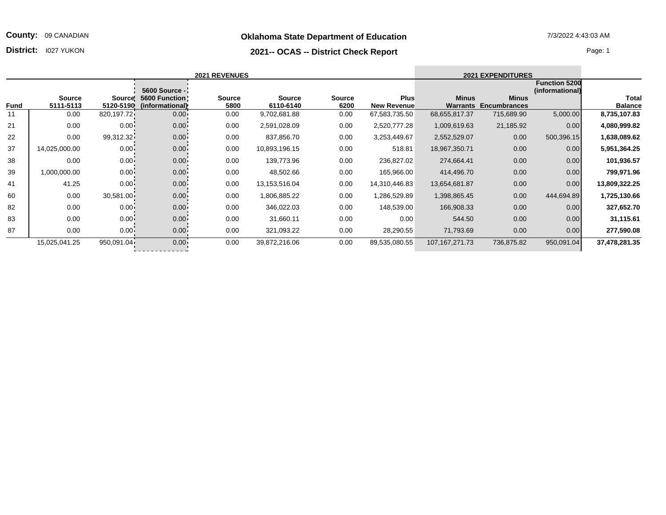**Oklahoma State Department of Education** 7/3/2022 4:43:03 AM

## **2021-- OCAS -- District Check Report District:** I027 YUKON Page: 1

|                         |                                         | <b>2021 EXPENDITURES</b>            |                          | <b>2021 REVENUES</b>              |                       |                            |                       |                                                                   |            |                            |      |  |
|-------------------------|-----------------------------------------|-------------------------------------|--------------------------|-----------------------------------|-----------------------|----------------------------|-----------------------|-------------------------------------------------------------------|------------|----------------------------|------|--|
| Total<br><b>Balance</b> | <b>Function 5200</b><br>(informational) | <b>Minus</b><br><b>Encumbrances</b> | <b>Minus</b><br>Warrants | <b>Plus</b><br><b>New Revenue</b> | <b>Source</b><br>6200 | <b>Source</b><br>6110-6140 | <b>Source</b><br>5800 | <b>5600 Source -</b><br>Source: 5600 Function:<br>(informational) | 5120-5190  | <b>Source</b><br>5111-5113 | Fund |  |
| 8,735,107.83            | 5,000.00                                | 715,689.90                          | 68,655,817.37            | 67,583,735.50                     | 0.00                  | 9,702,681.88               | 0.00                  | $0.00 -$                                                          | 820,197.72 | 0.00                       | 11   |  |
| 4,080,999.82            | 0.00                                    | 21,185.92                           | 1,009,619.63             | 2,520,777.28                      | 0.00                  | 2,591,028.09               | 0.00                  | $0.00 -$                                                          | $0.00 -$   | 0.00                       | 21   |  |
| 1,638,089.62            | 500,396.15                              | 0.00                                | 2,552,529.07             | 3,253,449.67                      | 0.00                  | 837,856.70                 | 0.00                  | $0.00 -$                                                          | 99,312.32  | 0.00                       | 22   |  |
| 5,951,364.25            | 0.00                                    | 0.00                                | 18,967,350.71            | 518.81                            | 0.00                  | 10,893,196.15              | 0.00                  | $0.00 -$                                                          | $0.00 -$   | 14,025,000.00              | 37   |  |
| 101,936.57              | 0.00                                    | 0.00                                | 274,664.41               | 236,827.02                        | 0.00                  | 139,773.96                 | 0.00                  | $0.00 -$                                                          | $0.00 -$   | 0.00                       | 38   |  |
| 799,971.96              | 0.00                                    | 0.00                                | 414,496.70               | 165,966.00                        | 0.00                  | 48,502.66                  | 0.00                  | $0.00 -$                                                          | $0.00 -$   | 1,000,000.00               | 39   |  |
| 13,809,322.25           | 0.00                                    | 0.00                                | 13,654,681.87            | 14,310,446.83                     | 0.00                  | 13,153,516.04              | 0.00                  | $0.00 -$                                                          | $0.00 -$   | 41.25                      | 41   |  |
| 1,725,130.66            | 444,694.89                              | 0.00                                | 1,398,865.45             | 1,286,529.89                      | 0.00                  | 1,806,885.22               | 0.00                  | $0.00 -$                                                          | 30,581.00  | 0.00                       | 60   |  |
| 327,652.70              | 0.00                                    | 0.00                                | 166,908.33               | 148,539.00                        | 0.00                  | 346,022.03                 | 0.00                  | $0.00 -$                                                          | $0.00 -$   | 0.00                       | 82   |  |
| 31,115.61               | 0.00                                    | 0.00                                | 544.50                   | 0.00                              | 0.00                  | 31,660.11                  | 0.00                  | $0.00 -$                                                          | $0.00 -$   | 0.00                       | 83   |  |
| 277,590.08              | 0.00                                    | 0.00                                | 71,793.69                | 28,290.55                         | 0.00                  | 321,093.22                 | 0.00                  | $0.00 -$                                                          | $0.00 -$   | 0.00                       | 87   |  |
| 37,478,281.35           | 950,091.04                              | 736,875.82                          | 107, 167, 271. 73        | 89,535,080.55                     | 0.00                  | 39,872,216.06              | 0.00                  | $0.00 -$                                                          | 950,091.04 | 15,025,041.25              |      |  |